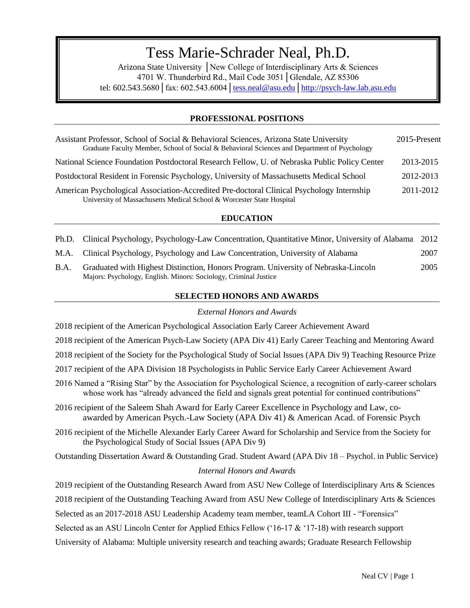# $\sum_{n=1}^{\infty}$ Tess Marie-Schrader Neal, Ph.D.

Arizona State University │New College of Interdisciplinary Arts & Sciences 4701 W. Thunderbird Rd., Mail Code 3051│Glendale, AZ 85306 tel:  $602.543.5680$   $\int$  fax:  $602.543.6004$   $\int$  tess.neal@asu.edu http://psych-law.lab.asu.edu

## **PROFESSIONAL POSITIONS**

| Assistant Professor, School of Social & Behavioral Sciences, Arizona State University<br>Graduate Faculty Member, School of Social & Behavioral Sciences and Department of Psychology | 2015-Present |
|---------------------------------------------------------------------------------------------------------------------------------------------------------------------------------------|--------------|
| National Science Foundation Postdoctoral Research Fellow, U. of Nebraska Public Policy Center                                                                                         | 2013-2015    |
| Postdoctoral Resident in Forensic Psychology, University of Massachusetts Medical School                                                                                              | 2012-2013    |
| American Psychological Association-Accredited Pre-doctoral Clinical Psychology Internship<br>University of Massachusetts Medical School & Worcester State Hospital                    | 2011-2012    |

## **EDUCATION**

- Ph.D. Clinical Psychology, Psychology-Law Concentration, Quantitative Minor, University of Alabama 2012
- M.A. Clinical Psychology, Psychology and Law Concentration, University of Alabama 2007
- B.A. Graduated with Highest Distinction, Honors Program. University of Nebraska-Lincoln 2005 Majors: Psychology, English. Minors: Sociology, Criminal Justice

## **SELECTED HONORS AND AWARDS**

## *External Honors and Awards*

- 2018 recipient of the American Psychological Association Early Career Achievement Award
- 2018 recipient of the American Psych-Law Society (APA Div 41) Early Career Teaching and Mentoring Award
- 2018 recipient of the Society for the Psychological Study of Social Issues (APA Div 9) Teaching Resource Prize
- 2017 recipient of the APA Division 18 Psychologists in Public Service Early Career Achievement Award
- 2016 Named a "Rising Star" by the Association for Psychological Science, a recognition of early-career scholars whose work has "already advanced the field and signals great potential for continued contributions"
- 2016 recipient of the Saleem Shah Award for Early Career Excellence in Psychology and Law, coawarded by American Psych.-Law Society (APA Div 41) & American Acad. of Forensic Psych
- 2016 recipient of the Michelle Alexander Early Career Award for Scholarship and Service from the Society for the Psychological Study of Social Issues (APA Div 9)
- Outstanding Dissertation Award & Outstanding Grad. Student Award (APA Div 18 Psychol. in Public Service)

## *Internal Honors and Awards*

2019 recipient of the Outstanding Research Award from ASU New College of Interdisciplinary Arts & Sciences

2018 recipient of the Outstanding Teaching Award from ASU New College of Interdisciplinary Arts & Sciences

Selected as an 2017-2018 ASU Leadership Academy team member, teamLA Cohort III - "Forensics"

Selected as an ASU Lincoln Center for Applied Ethics Fellow ('16-17 & '17-18) with research support

University of Alabama: Multiple university research and teaching awards; Graduate Research Fellowship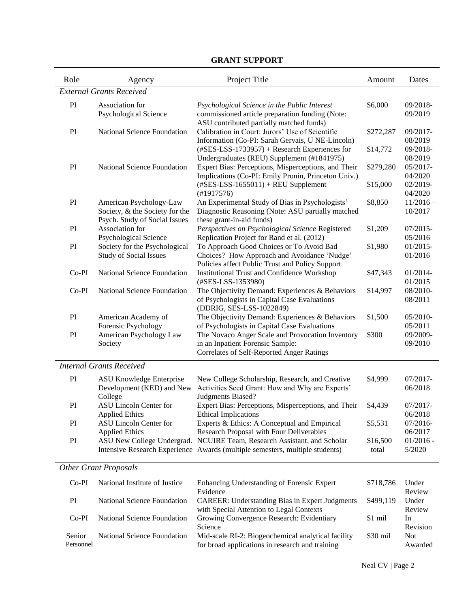| Role    | Agency                                                         | Project Title                                                                                     | Amount    | Dates                  |  |
|---------|----------------------------------------------------------------|---------------------------------------------------------------------------------------------------|-----------|------------------------|--|
|         | <b>External Grants Received</b>                                |                                                                                                   |           |                        |  |
| PI      | Association for                                                | Psychological Science in the Public Interest                                                      | \$6,000   | 09/2018-               |  |
|         | <b>Psychological Science</b>                                   | commissioned article preparation funding (Note:                                                   |           | 09/2019                |  |
|         |                                                                | ASU contributed partially matched funds)                                                          |           |                        |  |
| PI      | National Science Foundation                                    | Calibration in Court: Jurors' Use of Scientific                                                   | \$272,287 | 09/2017-               |  |
|         |                                                                | Information (Co-PI: Sarah Gervais, U NE-Lincoln)                                                  |           | 08/2019                |  |
|         |                                                                | $(\text{\#SES-LSS-1733957}) +$ Research Experiences for                                           | \$14,772  | 09/2018-               |  |
| PI      | National Science Foundation                                    | Undergraduates (REU) Supplement (#1841975)<br>Expert Bias: Perceptions, Misperceptions, and Their |           | 08/2019<br>05/2017-    |  |
|         |                                                                | Implications (Co-PI: Emily Pronin, Princeton Univ.)                                               | \$279,280 | 04/2020                |  |
|         |                                                                | $(\text{\#SES-LSS-1655011}) + \text{REU Supplement}$                                              | \$15,000  | 02/2019-               |  |
|         |                                                                | (H1917576)                                                                                        |           | 04/2020                |  |
| PI      | American Psychology-Law                                        | An Experimental Study of Bias in Psychologists'                                                   | \$8,850   | $11/2016 -$            |  |
|         | Society, & the Society for the                                 | Diagnostic Reasoning (Note: ASU partially matched                                                 |           | 10/2017                |  |
|         | Psych. Study of Social Issues                                  | these grant-in-aid funds)                                                                         |           |                        |  |
| PI      | Association for                                                | Perspectives on Psychological Science Registered                                                  | \$1,209   | $07/2015 -$            |  |
|         | <b>Psychological Science</b>                                   | Replication Project for Rand et al. (2012)                                                        |           | 05/2016                |  |
| PI      | Society for the Psychological<br><b>Study of Social Issues</b> | To Approach Good Choices or To Avoid Bad<br>Choices? How Approach and Avoidance 'Nudge'           | \$1,980   | $01/2015 -$<br>01/2016 |  |
|         |                                                                | Policies affect Public Trust and Policy Support                                                   |           |                        |  |
| Co-PI   | National Science Foundation                                    | <b>Institutional Trust and Confidence Workshop</b>                                                | \$47,343  | 01/2014-               |  |
|         |                                                                | (#SES-LSS-1353980)                                                                                |           | 01/2015                |  |
| $Co-PI$ | National Science Foundation                                    | The Objectivity Demand: Experiences & Behaviors                                                   | \$14,997  | 08/2010-               |  |
|         |                                                                | of Psychologists in Capital Case Evaluations                                                      |           | 08/2011                |  |
|         |                                                                | (DDRIG, SES-LSS-1022849)                                                                          |           |                        |  |
| PI      | American Academy of                                            | The Objectivity Demand: Experiences & Behaviors                                                   | \$1,500   | 05/2010-               |  |
|         | Forensic Psychology                                            | of Psychologists in Capital Case Evaluations                                                      |           | 05/2011                |  |
| PI      | American Psychology Law<br>Society                             | The Novaco Anger Scale and Provocation Inventory<br>in an Inpatient Forensic Sample:              | \$300     | 09/2009-<br>09/2010    |  |
|         |                                                                | Correlates of Self-Reported Anger Ratings                                                         |           |                        |  |
|         |                                                                |                                                                                                   |           |                        |  |
|         | <b>Internal Grants Received</b>                                |                                                                                                   |           |                        |  |
| PI      | <b>ASU Knowledge Enterprise</b>                                | New College Scholarship, Research, and Creative                                                   | \$4,999   | 07/2017-               |  |
|         | Development (KED) and New<br>College                           | Activities Seed Grant: How and Why are Experts'<br>Judgments Biased?                              |           | 06/2018                |  |
| PI      | ASU Lincoln Center for                                         | Expert Bias: Perceptions, Misperceptions, and Their                                               | \$4,439   | $07/2017-$             |  |
|         | <b>Applied Ethics</b>                                          | <b>Ethical Implications</b>                                                                       |           | 06/2018                |  |
| PI      | <b>ASU Lincoln Center for</b>                                  | Experts & Ethics: A Conceptual and Empirical                                                      | \$5,531   | 07/2016-               |  |
|         | <b>Applied Ethics</b>                                          | Research Proposal with Four Deliverables                                                          |           | 06/2017                |  |
| PI      | ASU New College Undergrad.                                     | NCUIRE Team, Research Assistant, and Scholar                                                      | \$16,500  | $01/2016 -$            |  |
|         |                                                                | Intensive Research Experience Awards (multiple semesters, multiple students)                      | total     | 5/2020                 |  |
|         | <b>Other Grant Proposals</b>                                   |                                                                                                   |           |                        |  |
|         |                                                                |                                                                                                   |           |                        |  |
| $Co-PI$ | National Institute of Justice                                  | Enhancing Understanding of Forensic Expert                                                        | \$718,786 | Under                  |  |
|         |                                                                | Evidence                                                                                          |           | Review                 |  |
| PI      | National Science Foundation                                    | <b>CAREER:</b> Understanding Bias in Expert Judgments                                             | \$499,119 | Under                  |  |
| $Co-PI$ | National Science Foundation                                    | with Special Attention to Legal Contexts<br>Growing Convergence Research: Evidentiary             | \$1 mil   | Review<br>In           |  |
|         |                                                                | Science                                                                                           |           | Revision               |  |
| Senior  | National Science Foundation                                    | Mid-scale RI-2: Biogeochemical analytical facility                                                | \$30 mil  | <b>Not</b>             |  |

for broad applications in research and training

Personnel

# **GRANT SUPPORT**

Awarded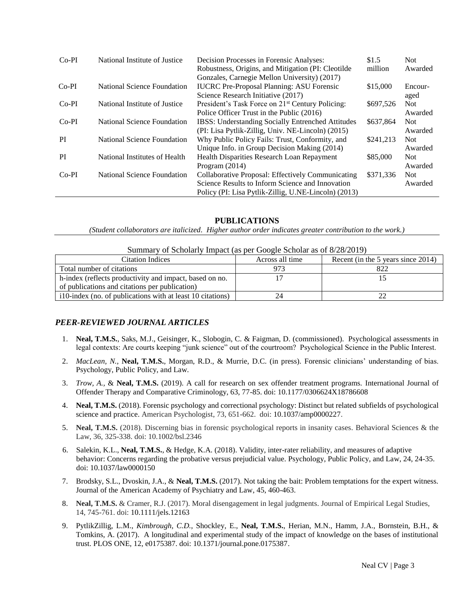| $Co-PI$ | National Institute of Justice | Decision Processes in Forensic Analyses:                     | \$1.5     | Not.       |
|---------|-------------------------------|--------------------------------------------------------------|-----------|------------|
|         |                               | Robustness, Origins, and Mitigation (PI: Cleotilde           | million   | Awarded    |
|         |                               | Gonzales, Carnegie Mellon University) (2017)                 |           |            |
| $Co-PI$ | National Science Foundation   | <b>IUCRC</b> Pre-Proposal Planning: ASU Forensic             | \$15,000  | Encour-    |
|         |                               | Science Research Initiative (2017)                           |           | aged       |
| $Co-PI$ | National Institute of Justice | President's Task Force on 21 <sup>st</sup> Century Policing: | \$697.526 | <b>Not</b> |
|         |                               | Police Officer Trust in the Public (2016)                    |           | Awarded    |
| $Co-PI$ | National Science Foundation   | <b>IBSS:</b> Understanding Socially Entrenched Attitudes     | \$637,864 | <b>Not</b> |
|         |                               | (PI: Lisa Pytlik-Zillig, Univ. NE-Lincoln) (2015)            |           | Awarded    |
| PI      | National Science Foundation   | Why Public Policy Fails: Trust, Conformity, and              | \$241,213 | <b>Not</b> |
|         |                               | Unique Info. in Group Decision Making (2014)                 |           | Awarded    |
| PI      | National Institutes of Health | Health Disparities Research Loan Repayment                   | \$85,000  | <b>Not</b> |
|         |                               | Program $(2014)$                                             |           | Awarded    |
| $Co-PI$ | National Science Foundation   | Collaborative Proposal: Effectively Communicating            | \$371.336 | <b>Not</b> |
|         |                               | Science Results to Inform Science and Innovation             |           | Awarded    |
|         |                               | Policy (PI: Lisa Pytlik-Zillig, U.NE-Lincoln) (2013)         |           |            |

## **PUBLICATIONS**

*(Student collaborators are italicized. Higher author order indicates greater contribution to the work.)*

| Summary of Scholarly Impact (as per Google Scholar as of 8/28/2019) |                 |                                    |  |
|---------------------------------------------------------------------|-----------------|------------------------------------|--|
| <b>Citation Indices</b>                                             | Across all time | Recent (in the 5 years since 2014) |  |
| Total number of citations                                           |                 | 822                                |  |
| h-index (reflects productivity and impact, based on no.             |                 |                                    |  |
| of publications and citations per publication)                      |                 |                                    |  |
| i 10-index (no. of publications with at least 10 citations)         |                 |                                    |  |

## *PEER-REVIEWED JOURNAL ARTICLES*

- 1. **Neal, T.M.S.**, Saks, M.J., Geisinger, K., Slobogin, C. & Faigman, D. (commissioned). Psychological assessments in legal contexts: Are courts keeping "junk science" out of the courtroom? Psychological Science in the Public Interest.
- 2. *MacLean, N.,* **Neal, T.M.S.***,* Morgan, R.D., & Murrie, D.C. (in press). Forensic clinicians' understanding of bias. Psychology, Public Policy, and Law.
- 3. *Trow, A.,* & **Neal, T.M.S.** (2019). A call for research on sex offender treatment programs. International Journal of Offender Therapy and Comparative Criminology, 63, 77-85. doi: 10.1177/0306624X18786608
- 4. **Neal, T.M.S.** (2018). Forensic psychology and correctional psychology: Distinct but related subfields of psychological science and practice. American Psychologist, 73, 651-662. doi: 10.1037/amp0000227.
- 5. **Neal, T.M.S.** (2018). Discerning bias in forensic psychological reports in insanity cases. Behavioral Sciences & the Law, 36, 325-338. doi: 10.1002/bsl.2346
- 6. Salekin, K.L., **Neal, T.M.S.**, & Hedge, K.A. (2018). Validity, inter-rater reliability, and measures of adaptive behavior: Concerns regarding the probative versus prejudicial value. Psychology, Public Policy, and Law, 24, 24-35. doi: 10.1037/law0000150
- 7. Brodsky, S.L., Dvoskin, J.A., & **Neal, T.M.S.** (2017). Not taking the bait: Problem temptations for the expert witness. Journal of the American Academy of Psychiatry and Law, 45, 460-463.
- 8. **Neal, T.M.S.** & Cramer, R.J. (2017). Moral disengagement in legal judgments. Journal of Empirical Legal Studies, 14, 745-761. doi: 10.1111/jels.12163
- 9. PytlikZillig, L.M., *Kimbrough, C.D.*, Shockley, E., **Neal, T.M.S.**, Herian, M.N., Hamm, J.A., Bornstein, B.H., & Tomkins, A. (2017). A longitudinal and experimental study of the impact of knowledge on the bases of institutional trust. PLOS ONE, 12, e0175387. doi: 10.1371/journal.pone.0175387.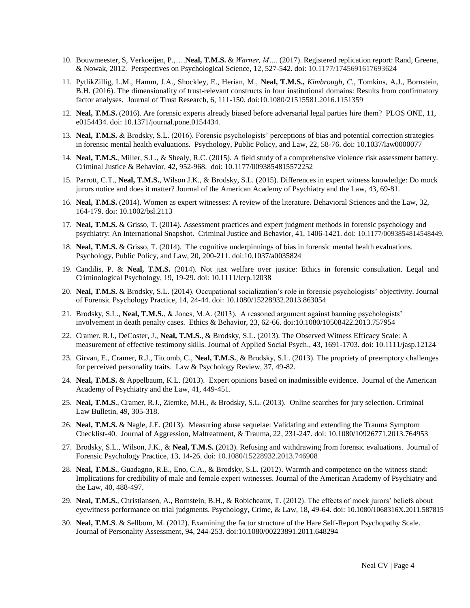- 10. Bouwmeester, S, Verkoeijen, P.,….**Neal, T.M.S.** & *Warner, M….* (2017). Registered replication report: Rand, Greene, & Nowak, 2012. Perspectives on Psychological Science, 12, 527-542. doi: 10.1177/1745691617693624
- 11. PytlikZillig, L.M., Hamm, J.A., Shockley, E., Herian, M., **Neal, T.M.S.,** *Kimbrough, C.*, Tomkins, A.J., Bornstein, B.H. (2016). The dimensionality of trust-relevant constructs in four institutional domains: Results from confirmatory factor analyses. Journal of Trust Research, 6, 111-150. doi:10.1080/21515581.2016.1151359
- 12. **Neal, T.M.S.** (2016). Are forensic experts already biased before adversarial legal parties hire them? PLOS ONE, 11, e0154434. doi: 10.1371/journal.pone.0154434.
- 13. **Neal, T.M.S.** & Brodsky, S.L. (2016). Forensic psychologists' perceptions of bias and potential correction strategies in forensic mental health evaluations. Psychology, Public Policy, and Law, 22, 58-76. doi: 10.1037/law0000077
- 14. **Neal, T.M.S.**, Miller, S.L., & Shealy, R.C. (2015). A field study of a comprehensive violence risk assessment battery. Criminal Justice & Behavior, 42, 952-968. doi: 10.1177/0093854815572252
- 15. Parrott, C.T., **Neal, T.M.S.**, Wilson J.K., & Brodsky, S.L. (2015). Differences in expert witness knowledge: Do mock jurors notice and does it matter? Journal of the American Academy of Psychiatry and the Law, 43, 69-81.
- 16. **Neal, T.M.S.** (2014). Women as expert witnesses: A review of the literature. Behavioral Sciences and the Law, 32, 164-179. doi: 10.1002/bsl.2113
- 17. **Neal, T.M.S.** & Grisso, T. (2014). Assessment practices and expert judgment methods in forensic psychology and psychiatry: An International Snapshot. Criminal Justice and Behavior, 41, 1406-1421. doi: 10.1177/0093854814548449.
- 18. **Neal, T.M.S.** & Grisso, T. (2014). The cognitive underpinnings of bias in forensic mental health evaluations. Psychology, Public Policy, and Law, 20, 200-211. doi:10.1037/a0035824
- 19. Candilis, P. & **Neal, T.M.S.** (2014). Not just welfare over justice: Ethics in forensic consultation. Legal and Criminological Psychology, 19, 19-29. doi: 10.1111/lcrp.12038
- 20. **Neal, T.M.S.** & Brodsky, S.L. (2014). Occupational socialization's role in forensic psychologists' objectivity. Journal of Forensic Psychology Practice, 14, 24-44. doi: 10.1080/15228932.2013.863054
- 21. Brodsky, S.L., **Neal, T.M.S.**, & Jones, M.A. (2013). A reasoned argument against banning psychologists' involvement in death penalty cases. Ethics & Behavior, 23, 62-66. doi:10.1080/10508422.2013.757954
- 22. Cramer, R.J., DeCoster, J., **Neal, T.M.S.**, & Brodsky, S.L. (2013). The Observed Witness Efficacy Scale: A measurement of effective testimony skills. Journal of Applied Social Psych., 43, 1691-1703. doi: 10.1111/jasp.12124
- 23. Girvan, E., Cramer, R.J., Titcomb, C., **Neal, T.M.S.**, & Brodsky, S.L. (2013). The propriety of preemptory challenges for perceived personality traits. Law & Psychology Review, 37, 49-82.
- 24. **Neal, T.M.S.** & Appelbaum, K.L. (2013). Expert opinions based on inadmissible evidence. Journal of the American Academy of Psychiatry and the Law, 41, 449-451.
- 25. **Neal, T.M.S**., Cramer, R.J., Ziemke, M.H., & Brodsky, S.L. (2013). Online searches for jury selection. Criminal Law Bulletin, 49, 305-318.
- 26. **Neal, T.M.S.** & Nagle, J.E. (2013). Measuring abuse sequelae: Validating and extending the Trauma Symptom Checklist-40. Journal of Aggression, Maltreatment, & Trauma, 22, 231-247. doi: 10.1080/10926771.2013.764953
- 27. Brodsky, S.L., Wilson, J.K., & **Neal, T.M.S.** (2013). Refusing and withdrawing from forensic evaluations. Journal of Forensic Psychology Practice, 13, 14-26. doi: 10.1080/15228932.2013.746908
- 28. **Neal, T.M.S.**, Guadagno, R.E., Eno, C.A., & Brodsky, S.L. (2012). Warmth and competence on the witness stand: Implications for credibility of male and female expert witnesses. Journal of the American Academy of Psychiatry and the Law, 40, 488-497.
- 29. **Neal, T.M.S.**, Christiansen, A., Bornstein, B.H., & Robicheaux, T. (2012). The effects of mock jurors' beliefs about eyewitness performance on trial judgments. Psychology, Crime, & Law, 18, 49-64. doi: 10.1080/1068316X.2011.587815
- 30. **Neal, T.M.S**. & Sellbom, M. (2012). Examining the factor structure of the Hare Self-Report Psychopathy Scale. Journal of Personality Assessment, 94, 244-253. doi:10.1080/00223891.2011.648294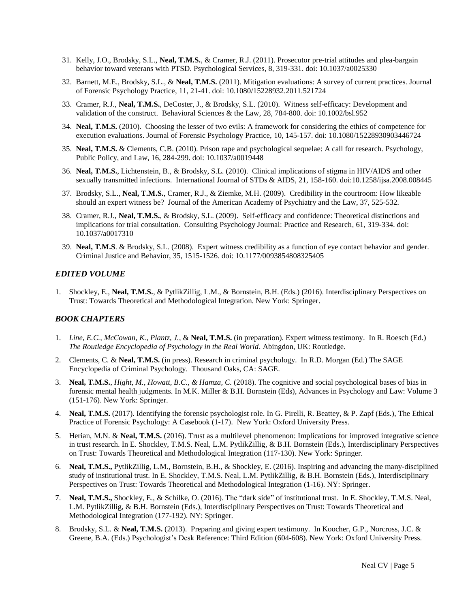- 31. Kelly, J.O., Brodsky, S.L., **Neal, T.M.S.**, & Cramer, R.J. (2011). Prosecutor pre-trial attitudes and plea-bargain behavior toward veterans with PTSD. Psychological Services, 8, 319-331. doi: 10.1037/a0025330
- 32. Barnett, M.E., Brodsky, S.L., & **Neal, T.M.S.** (2011). Mitigation evaluations: A survey of current practices. Journal of Forensic Psychology Practice, 11, 21-41. doi: 10.1080/15228932.2011.521724
- 33. Cramer, R.J., **Neal, T.M.S.**, DeCoster, J., & Brodsky, S.L. (2010). Witness self-efficacy: Development and validation of the construct. Behavioral Sciences & the Law, 28, 784-800. doi: 10.1002/bsl.952
- 34. **Neal, T.M.S.** (2010). Choosing the lesser of two evils: A framework for considering the ethics of competence for execution evaluations. Journal of Forensic Psychology Practice, 10, 145-157. doi: 10.1080/15228930903446724
- 35. **Neal, T.M.S.** & Clements, C.B. (2010). Prison rape and psychological sequelae: A call for research. Psychology, Public Policy, and Law, 16, 284-299. doi: 10.1037/a0019448
- 36. **Neal, T.M.S.**, Lichtenstein, B., & Brodsky, S.L. (2010). Clinical implications of stigma in HIV/AIDS and other sexually transmitted infections. International Journal of STDs & AIDS, 21, 158-160. doi:10.1258/ijsa.2008.008445
- 37. Brodsky, S.L., **Neal, T.M.S.**, Cramer, R.J., & Ziemke, M.H. (2009). Credibility in the courtroom: How likeable should an expert witness be? Journal of the American Academy of Psychiatry and the Law, 37, 525-532.
- 38. Cramer, R.J., **Neal, T.M.S.**, & Brodsky, S.L. (2009). Self-efficacy and confidence: Theoretical distinctions and implications for trial consultation. Consulting Psychology Journal: Practice and Research, 61, 319-334. doi: 10.1037/a0017310
- 39. **Neal, T.M.S**. & Brodsky, S.L. (2008). Expert witness credibility as a function of eye contact behavior and gender. Criminal Justice and Behavior, 35, 1515-1526. doi: 10.1177/0093854808325405

#### *EDITED VOLUME*

1. Shockley, E., **Neal, T.M.S.**, & PytlikZillig, L.M., & Bornstein, B.H. (Eds.) (2016). Interdisciplinary Perspectives on Trust: Towards Theoretical and Methodological Integration. New York: Springer.

## *BOOK CHAPTERS*

- 1. *Line, E.C., McCowan, K., Plantz, J.*, & **Neal, T.M.S.** (in preparation). Expert witness testimony. In R. Roesch (Ed.) *The Routledge Encyclopedia of Psychology in the Real World*. Abingdon, UK: Routledge.
- 2. Clements, C. & **Neal, T.M.S.** (in press). Research in criminal psychology. In R.D. Morgan (Ed.) The SAGE Encyclopedia of Criminal Psychology. Thousand Oaks, CA: SAGE.
- 3. **Neal, T.M.S.**, *Hight, M., Howatt, B.C., & Hamza, C.* (2018). The cognitive and social psychological bases of bias in forensic mental health judgments. In M.K. Miller & B.H. Bornstein (Eds), Advances in Psychology and Law: Volume 3 (151-176). New York: Springer.
- 4. **Neal, T.M.S.** (2017). Identifying the forensic psychologist role. In G. Pirelli, R. Beattey, & P. Zapf (Eds.), The Ethical Practice of Forensic Psychology: A Casebook (1-17). New York: Oxford University Press.
- 5. Herian, M.N. & **Neal, T.M.S.** (2016). Trust as a multilevel phenomenon: Implications for improved integrative science in trust research. In E. Shockley, T.M.S. Neal, L.M. PytlikZillig, & B.H. Bornstein (Eds.), Interdisciplinary Perspectives on Trust: Towards Theoretical and Methodological Integration (117-130). New York: Springer.
- 6. **Neal, T.M.S.,** PytlikZillig, L.M., Bornstein, B.H., & Shockley, E. (2016). Inspiring and advancing the many-disciplined study of institutional trust. In E. Shockley, T.M.S. Neal, L.M. PytlikZillig, & B.H. Bornstein (Eds.), Interdisciplinary Perspectives on Trust: Towards Theoretical and Methodological Integration (1-16). NY: Springer.
- 7. **Neal, T.M.S.,** Shockley, E., & Schilke, O. (2016). The "dark side" of institutional trust. In E. Shockley, T.M.S. Neal, L.M. PytlikZillig, & B.H. Bornstein (Eds.), Interdisciplinary Perspectives on Trust: Towards Theoretical and Methodological Integration (177-192). NY: Springer.
- 8. Brodsky, S.L. & **Neal, T.M.S.** (2013). Preparing and giving expert testimony. In Koocher, G.P., Norcross, J.C. & Greene, B.A. (Eds.) Psychologist's Desk Reference: Third Edition (604-608). New York: Oxford University Press.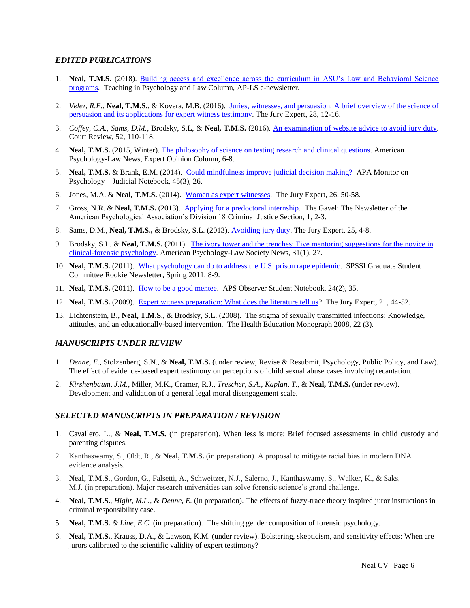## *EDITED PUBLICATIONS*

- 1. **Neal, T.M.S.** (2018). [Building access and excellence across the curriculum in ASU's Law and Behavioral Science](http://ap-ls.wildapricot.org/resources/EmailTemplates/2018_11%20November%20AP-LS%20Newsletter/TeachPsy_LawColumn.pdf)  [programs.](http://ap-ls.wildapricot.org/resources/EmailTemplates/2018_11%20November%20AP-LS%20Newsletter/TeachPsy_LawColumn.pdf) Teaching in Psychology and Law Column, AP-LS e-newsletter.
- 2. *Velez, R.E.,* **Neal, T.M.S.**, & Kovera, M.B. (2016). [Juries, witnesses, and persuasion: A brief overview of the science of](http://www.thejuryexpert.com/wp-content/uploads/TJEVol28Num2_ExpertPersuasion.pdf)  [persuasion and its applications for expert witness testimony.](http://www.thejuryexpert.com/wp-content/uploads/TJEVol28Num2_ExpertPersuasion.pdf) The Jury Expert, 28, 12-16.
- 3. *Coffey, C.A.*, *Sams, D.M.*, Brodsky, S.L, & **Neal, T.M.S.** (2016). [An examination of website advice to avoid jury duty.](http://aja.ncsc.dni.us/publications/courtrv/cr52-3/CR52-3Sams.pdf) Court Review, 52, 110-118.
- 4. **Neal, T.M.S.** (2015, Winter)[. The philosophy of science on testing](http://ap-ls.wildapricot.org/Resources/Documents/apls_Winter_2015.pdf) research and clinical questions. American Psychology-Law News, Expert Opinion Column, 6-8.
- 5. **Neal, T.M.S.** & Brank, E.M. (2014). Could [mindfulness improve judicial decision making?](http://www.apamonitor-digital.org/apamonitor/201403#pg29) APA Monitor on Psychology – Judicial Notebook, 45(3), 26.
- 6. Jones, M.A. & **Neal, T.M.S.** (2014). [Women as expert](http://www.thejuryexpert.com/2014/05/women-as-expert-witnesses/) witnesses. The Jury Expert, 26, 50-58.
- 7. Gross, N.R. & **Neal, T.M.S.** (2013). [Applying for a predoctoral internship.](http://www.apadivisions.org/division-18/publications/newsletters/gavel/2013/07/predoctoral-internship-applications.aspx) The Gavel: The Newsletter of the American Psychological Association's Division 18 Criminal Justice Section, 1, 2-3.
- 8. Sams, D.M., **Neal, T.M.S.,** & Brodsky, S.L. (2013). [Avoiding jury duty.](http://www.thejuryexpert.com/wp-content/uploads/JuryExpert_1301_AvoidingJuryDuty.pdf) The Jury Expert, 25, 4-8.
- 9. Brodsky, S.L. & **Neal, T.M.S.** (2011). [The ivory tower and the trenches: Five mentoring suggestions for the novice in](http://www.apadivisions.org/division-41/publications/newsletters/news/2011/01-issue.pdf)  [clinical-forensic psychology.](http://www.apadivisions.org/division-41/publications/newsletters/news/2011/01-issue.pdf) American Psychology-Law Society News, 31(1), 27.
- 10. **Neal, T.M.S.** (2011). [What psychology can do to address the U.S. prison rape epidemic.](http://www.spssi.org/_data/n_0001/resources/live/Rookie%20Newsletter%20Spring%202011.pdf) SPSSI Graduate Student Committee Rookie Newsletter, Spring 2011, 8-9.
- 11. **Neal, T.M.S.** (2011). [How to be a good mentee.](http://www.psychologicalscience.org/index.php/publications/observer/2011/february-11/how-to-be-a-good-mentee.html) APS Observer Student Notebook, 24(2), 35.
- 12. **Neal, T.M.S.** (2009). [Expert witness preparation: What does the literature tell us?](http://www.thejuryexpert.com/wp-content/uploads/NealExpertWitnessesTJEMarch09.pdf) The Jury Expert, 21, 44-52.
- 13. Lichtenstein, B., **Neal, T.M.S**., & Brodsky, S.L. (2008). The stigma of sexually transmitted infections: Knowledge, attitudes, and an educationally-based intervention. The Health Education Monograph 2008, 22 (3).

#### *MANUSCRIPTS UNDER REVIEW*

- 1. *Denne, E.*, Stolzenberg, S.N., & **Neal, T.M.S.** (under review, Revise & Resubmit, Psychology, Public Policy, and Law). The effect of evidence-based expert testimony on perceptions of child sexual abuse cases involving recantation.
- 2. *Kirshenbaum, J.M.*, Miller, M.K., Cramer, R.J., *Trescher, S.A.*, *Kaplan, T.*, & **Neal, T.M.S.** (under review). Development and validation of a general legal moral disengagement scale.

## **SELECTED MANUSCRIPTS IN PREPARATION / REVISION**

- 1. Cavallero, L., & **Neal, T.M.S.** (in preparation). When less is more: Brief focused assessments in child custody and parenting disputes.
- 2. Kanthaswamy, S., Oldt, R., & **Neal, T.M.S.** (in preparation). A proposal to mitigate racial bias in modern DNA evidence analysis.
- 3. **Neal, T.M.S.**, Gordon, G., Falsetti, A., Schweitzer, N.J., Salerno, J., Kanthaswamy, S., Walker, K., & Saks, M.J. (in preparation). Major research universities can solve forensic science's grand challenge.
- 4. **Neal, T.M.S.**, *Hight, M.L.*, & *Denne, E.* (in preparation). The effects of fuzzy-trace theory inspired juror instructions in criminal responsibility case.
- 5. **Neal, T.M.S.** *& Line, E.C.* (in preparation). The shifting gender composition of forensic psychology.
- 6. **Neal, T.M.S.**, Krauss, D.A., & Lawson, K.M. (under review). Bolstering, skepticism, and sensitivity effects: When are jurors calibrated to the scientific validity of expert testimony?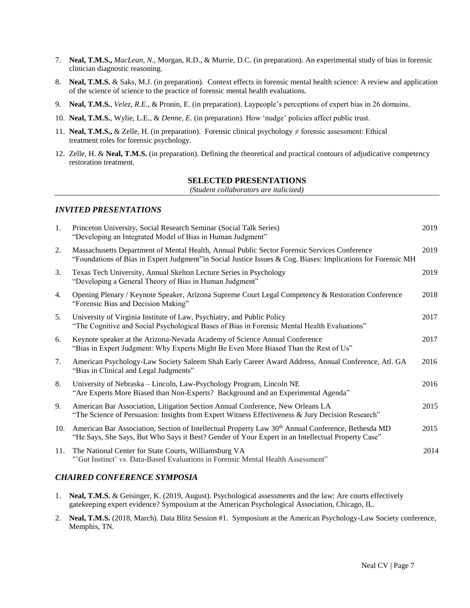- 7. **Neal, T.M.S.,** *MacLean, N.,* Morgan, R.D., & Murrie, D.C. (in preparation). An experimental study of bias in forensic clinician diagnostic reasoning.
- 8. **Neal, T.M.S.** & Saks, M.J. (in preparation). Context effects in forensic mental health science: A review and application of the science of science to the practice of forensic mental health evaluations.
- 9. **Neal, T.M.S.**, *Velez, R.E.*, & Pronin, E. (in preparation). Laypeople's perceptions of expert bias in 26 domains.
- 10. **Neal, T.M.S.**, Wylie, L.E., & *Denne, E.* (in preparation). How 'nudge' policies affect public trust.
- 11. **Neal, T.M.S.,** & Zelle, H. (in preparation). Forensic clinical psychology ≠ forensic assessment: Ethical treatment roles for forensic psychology.
- 12. Zelle, H. & **Neal, T.M.S.** (in preparation). Defining the theoretical and practical contours of adjudicative competency restoration treatment.

## **SELECTED PRESENTATIONS**

*(Student collaborators are italicized)*

#### *INVITED PRESENTATIONS*

| 1.  | Princeton University, Social Research Seminar (Social Talk Series)<br>"Developing an Integrated Model of Bias in Human Judgment"                                                                                    | 2019 |
|-----|---------------------------------------------------------------------------------------------------------------------------------------------------------------------------------------------------------------------|------|
| 2.  | Massachusetts Department of Mental Health, Annual Public Sector Forensic Services Conference<br>"Foundations of Bias in Expert Judgment" in Social Justice Issues & Cog. Biases: Implications for Forensic MH       | 2019 |
| 3.  | Texas Tech University, Annual Skelton Lecture Series in Psychology<br>"Developing a General Theory of Bias in Human Judgment"                                                                                       | 2019 |
| 4.  | Opening Plenary / Keynote Speaker, Arizona Supreme Court Legal Competency & Restoration Conference<br>"Forensic Bias and Decision Making"                                                                           | 2018 |
| 5.  | University of Virginia Institute of Law, Psychiatry, and Public Policy<br>"The Cognitive and Social Psychological Bases of Bias in Forensic Mental Health Evaluations"                                              | 2017 |
| 6.  | Keynote speaker at the Arizona-Nevada Academy of Science Annual Conference<br>"Bias in Expert Judgment: Why Experts Might Be Even More Biased Than the Rest of Us"                                                  | 2017 |
| 7.  | American Psychology-Law Society Saleem Shah Early Career Award Address, Annual Conference, Atl. GA<br>"Bias in Clinical and Legal Judgments"                                                                        | 2016 |
| 8.  | University of Nebraska – Lincoln, Law-Psychology Program, Lincoln NE<br>"Are Experts More Biased than Non-Experts? Background and an Experimental Agenda"                                                           | 2016 |
| 9.  | American Bar Association, Litigation Section Annual Conference, New Orleans LA<br>"The Science of Persuasion: Insights from Expert Witness Effectiveness & Jury Decision Research"                                  | 2015 |
| 10. | American Bar Association, Section of Intellectual Property Law 30 <sup>th</sup> Annual Conference, Bethesda MD<br>"He Says, She Says, But Who Says it Best? Gender of Your Expert in an Intellectual Property Case" | 2015 |
| 11. | The National Center for State Courts, Williamsburg VA<br>"'Gut Instinct' vs. Data-Based Evaluations in Forensic Mental Health Assessment"                                                                           | 2014 |

## *CHAIRED CONFERENCE SYMPOSIA*

- 1. **Neal, T.M.S.** & Geisinger, K. (2019, August). Psychological assessments and the law: Are courts effectively gatekeeping expert evidence? Symposium at the American Psychological Association, Chicago, IL.
- 2. **Neal, T.M.S.** (2018, March). Data Blitz Session #1. Symposium at the American Psychology-Law Society conference, Memphis, TN.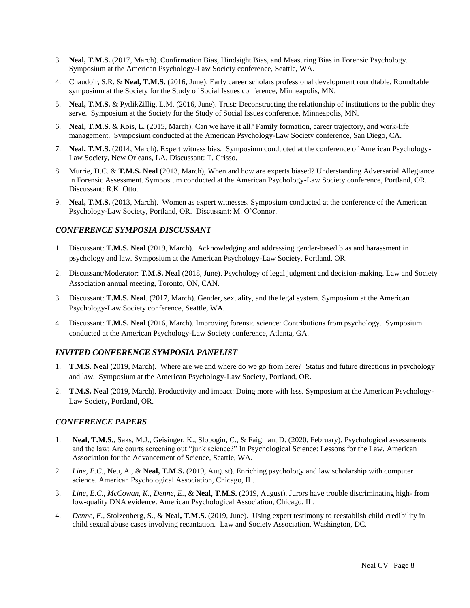- 3. **Neal, T.M.S.** (2017, March). Confirmation Bias, Hindsight Bias, and Measuring Bias in Forensic Psychology. Symposium at the American Psychology-Law Society conference, Seattle, WA.
- 4. Chaudoir, S.R. & **Neal, T.M.S.** (2016, June). Early career scholars professional development roundtable. Roundtable symposium at the Society for the Study of Social Issues conference, Minneapolis, MN.
- 5. **Neal, T.M.S.** & PytlikZillig, L.M. (2016, June). Trust: Deconstructing the relationship of institutions to the public they serve. Symposium at the Society for the Study of Social Issues conference, Minneapolis, MN.
- 6. **Neal, T.M.S**. & Kois, L. (2015, March). Can we have it all? Family formation, career trajectory, and work-life management. Symposium conducted at the American Psychology-Law Society conference, San Diego, CA.
- 7. **Neal, T.M.S.** (2014, March). Expert witness bias. Symposium conducted at the conference of American Psychology-Law Society, New Orleans, LA. Discussant: T. Grisso.
- 8. Murrie, D.C. & **T.M.S. Neal** (2013, March), When and how are experts biased? Understanding Adversarial Allegiance in Forensic Assessment. Symposium conducted at the American Psychology-Law Society conference, Portland, OR. Discussant: R.K. Otto.
- 9. **Neal, T.M.S.** (2013, March). Women as expert witnesses. Symposium conducted at the conference of the American Psychology-Law Society, Portland, OR. Discussant: M. O'Connor.

## *CONFERENCE SYMPOSIA DISCUSSANT*

- 1. Discussant: **T.M.S. Neal** (2019, March). Acknowledging and addressing gender-based bias and harassment in psychology and law. Symposium at the American Psychology-Law Society, Portland, OR.
- 2. Discussant/Moderator: **T.M.S. Neal** (2018, June). Psychology of legal judgment and decision-making. Law and Society Association annual meeting, Toronto, ON, CAN.
- 3. Discussant: **T.M.S. Neal**. (2017, March). Gender, sexuality, and the legal system. Symposium at the American Psychology-Law Society conference, Seattle, WA.
- 4. Discussant: **T.M.S. Neal** (2016, March). Improving forensic science: Contributions from psychology. Symposium conducted at the American Psychology-Law Society conference, Atlanta, GA.

## *INVITED CONFERENCE SYMPOSIA PANELIST*

- 1. **T.M.S. Neal** (2019, March). Where are we and where do we go from here? Status and future directions in psychology and law. Symposium at the American Psychology-Law Society, Portland, OR.
- 2. **T.M.S. Neal** (2019, March). Productivity and impact: Doing more with less. Symposium at the American Psychology-Law Society, Portland, OR.

## *CONFERENCE PAPERS*

- 1. **Neal, T.M.S.**, Saks, M.J., Geisinger, K., Slobogin, C., & Faigman, D. (2020, February). Psychological assessments and the law: Are courts screening out "junk science?" In Psychological Science: Lessons for the Law. American Association for the Advancement of Science, Seattle, WA.
- 2. *Line, E.C.*, Neu, A., & **Neal, T.M.S.** (2019, August). Enriching psychology and law scholarship with computer science. American Psychological Association, Chicago, IL.
- 3. *Line, E.C.*, *McCowan, K.*, *Denne, E.*, & **Neal, T.M.S.** (2019, August). Jurors have trouble discriminating high- from low-quality DNA evidence. American Psychological Association, Chicago, IL.
- 4. *Denne, E.*, Stolzenberg, S., & **Neal, T.M.S.** (2019, June). Using expert testimony to reestablish child credibility in child sexual abuse cases involving recantation. Law and Society Association, Washington, DC.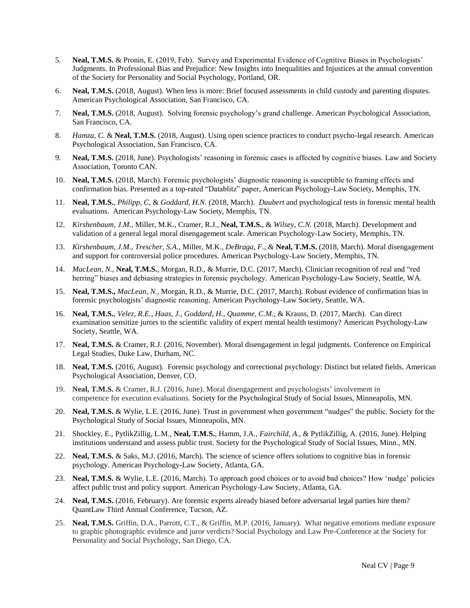- 5. **Neal, T.M.S.** & Pronin, E. (2019, Feb). Survey and Experimental Evidence of Cognitive Biases in Psychologists' Judgments. In Professional Bias and Prejudice: New Insights into Inequalities and Injustices at the annual convention of the Society for Personality and Social Psychology, Portland, OR.
- 6. **Neal, T.M.S.** (2018, August). When less is more: Brief focused assessments in child custody and parenting disputes. American Psychological Association, San Francisco, CA.
- 7. **Neal, T.M.S.** (2018, August). Solving forensic psychology's grand challenge. American Psychological Association, San Francisco, CA.
- 8. *Hamza, C.* & **Neal, T.M.S.** (2018, August). Using open science practices to conduct psycho-legal research. American Psychological Association, San Francisco, CA.
- 9. **Neal, T.M.S.** (2018, June). Psychologists' reasoning in forensic cases is affected by cognitive biases. Law and Society Association, Toronto CAN.
- 10. **Neal, T.M.S.** (2018, March). Forensic psychologists' diagnostic reasoning is susceptible to framing effects and confirmation bias. Presented as a top-rated "Datablitz" paper, American Psychology-Law Society, Memphis, TN.
- 11. **Neal, T.M.S.**, *Philipp, C*, & *Goddard, H.N.* (2018, March). *Daubert* and psychological tests in forensic mental health evaluations. American Psychology-Law Society, Memphis, TN.
- 12. *Kirshenbaum, J.M.*, Miller, M.K., Cramer, R.J., **Neal, T.M.S.**, & *Wilsey, C.N.* (2018, March). Development and validation of a general legal moral disengagement scale. American Psychology-Law Society, Memphis, TN.
- 13. *Kirshenbaum, J.M.*, *Trescher, S.A.,* Miller, M.K., *DeBraga, F*., & **Neal, T.M.S.** (2018, March). Moral disengagement and support for controversial police procedures. American Psychology-Law Society, Memphis, TN.
- 14. *MacLean, N.,* **Neal, T.M.S.***,* Morgan, R.D., & Murrie, D.C. (2017, March). Clinician recognition of real and "red herring" biases and debiasing strategies in forensic psychology. American Psychology-Law Society, Seattle, WA.
- 15. **Neal, T.M.S.,** *MacLean, N.,* Morgan, R.D., & Murrie, D.C. (2017, March). Robust evidence of confirmation bias in forensic psychologists' diagnostic reasoning. American Psychology-Law Society, Seattle, WA.
- 16. **Neal, T.M.S.**, *Velez, R.E.*, *Haas, J.*, *Goddard, H.*, *Quamme, C.M.*, & Krauss, D. (2017, March). Can direct examination sensitize jurors to the scientific validity of expert mental health testimony? American Psychology-Law Society, Seattle, WA.
- 17. **Neal, T.M.S.** & Cramer, R.J. (2016, November). Moral disengagement in legal judgments. Conference on Empirical Legal Studies, Duke Law, Durham, NC.
- 18. **Neal, T.M.S.** (2016, August). Forensic psychology and correctional psychology: Distinct but related fields. American Psychological Association, Denver, CO.
- 19. **Neal, T.M.S.** & Cramer, R.J. (2016, June). Moral disengagement and psychologists' involvement in competence for execution evaluations. Society for the Psychological Study of Social Issues, Minneapolis, MN.
- 20. **Neal, T.M.S.** & Wylie, L.E. (2016, June). Trust in government when government "nudges" the public. Society for the Psychological Study of Social Issues, Minneapolis, MN.
- 21. Shockley, E., PytlikZillig, L.M., **Neal, T.M.S.**, Hamm, J.A., *Fairchild, A.*, & PytlikZillig, A. (2016, June). Helping institutions understand and assess public trust. Society for the Psychological Study of Social Issues, Minn., MN.
- 22. **Neal, T.M.S.** & Saks, M.J. (2016, March). The science of science offers solutions to cognitive bias in forensic psychology. American Psychology-Law Society, Atlanta, GA.
- 23. **Neal, T.M.S.** & Wylie, L.E. (2016, March). To approach good choices or to avoid bad choices? How 'nudge' policies affect public trust and policy support. American Psychology-Law Society, Atlanta, GA.
- 24. **Neal, T.M.S.** (2016, February). Are forensic experts already biased before adversarial legal parties hire them? QuantLaw Third Annual Conference, Tucson, AZ.
- 25. **Neal, T.M.S.** Griffin, D.A., Parrott, C.T., & Griffin, M.P. (2016, January). What negative emotions mediate exposure to graphic photographic evidence and juror verdicts? Social Psychology and Law Pre-Conference at the Society for Personality and Social Psychology, San Diego, CA.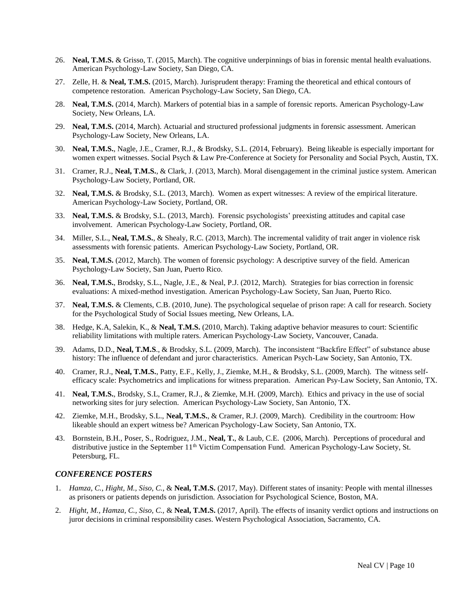- 26. **Neal, T.M.S.** & Grisso, T. (2015, March). The cognitive underpinnings of bias in forensic mental health evaluations. American Psychology-Law Society, San Diego, CA.
- 27. Zelle, H. & **Neal, T.M.S.** (2015, March). Jurisprudent therapy: Framing the theoretical and ethical contours of competence restoration. American Psychology-Law Society, San Diego, CA.
- 28. **Neal, T.M.S.** (2014, March). Markers of potential bias in a sample of forensic reports. American Psychology-Law Society, New Orleans, LA.
- 29. **Neal, T.M.S.** (2014, March). Actuarial and structured professional judgments in forensic assessment. American Psychology-Law Society, New Orleans, LA.
- 30. **Neal, T.M.S.**, Nagle, J.E., Cramer, R.J., & Brodsky, S.L. (2014, February). Being likeable is especially important for women expert witnesses. Social Psych & Law Pre-Conference at Society for Personality and Social Psych, Austin, TX.
- 31. Cramer, R.J., **Neal, T.M.S.**, & Clark, J. (2013, March). Moral disengagement in the criminal justice system. American Psychology-Law Society, Portland, OR.
- 32. **Neal, T.M.S.** & Brodsky, S.L. (2013, March). Women as expert witnesses: A review of the empirical literature. American Psychology-Law Society, Portland, OR.
- 33. **Neal, T.M.S.** & Brodsky, S.L. (2013, March). Forensic psychologists' preexisting attitudes and capital case involvement. American Psychology-Law Society, Portland, OR.
- 34. Miller, S.L., **Neal, T.M.S.**, & Shealy, R.C. (2013, March). The incremental validity of trait anger in violence risk assessments with forensic patients. American Psychology-Law Society, Portland, OR.
- 35. **Neal, T.M.S.** (2012, March). The women of forensic psychology: A descriptive survey of the field. American Psychology-Law Society, San Juan, Puerto Rico.
- 36. **Neal, T.M.S.**, Brodsky, S.L., Nagle, J.E., & Neal, P.J. (2012, March). Strategies for bias correction in forensic evaluations: A mixed-method investigation. American Psychology-Law Society, San Juan, Puerto Rico.
- 37. **Neal, T.M.S.** & Clements, C.B. (2010, June). The psychological sequelae of prison rape: A call for research. Society for the Psychological Study of Social Issues meeting, New Orleans, LA.
- 38. Hedge, K.A, Salekin, K., & **Neal, T.M.S.** (2010, March). Taking adaptive behavior measures to court: Scientific reliability limitations with multiple raters. American Psychology-Law Society, Vancouver, Canada.
- 39. Adams, D.D., **Neal, T.M.S**., & Brodsky, S.L. (2009, March). The inconsistent "Backfire Effect" of substance abuse history: The influence of defendant and juror characteristics. American Psych-Law Society, San Antonio, TX.
- 40. Cramer, R.J., **Neal, T.M.S.**, Patty, E.F., Kelly, J., Ziemke, M.H., & Brodsky, S.L. (2009, March). The witness selfefficacy scale: Psychometrics and implications for witness preparation. American Psy-Law Society, San Antonio, TX.
- 41. **Neal, T.M.S.**, Brodsky, S.L, Cramer, R.J., & Ziemke, M.H. (2009, March). Ethics and privacy in the use of social networking sites for jury selection. American Psychology-Law Society, San Antonio, TX.
- 42. Ziemke, M.H., Brodsky, S.L., **Neal, T.M.S.**, & Cramer, R.J. (2009, March). Credibility in the courtroom: How likeable should an expert witness be? American Psychology-Law Society, San Antonio, TX.
- 43. Bornstein, B.H., Poser, S., Rodriguez, J.M., **Neal, T.**, & Laub, C.E. (2006, March). Perceptions of procedural and distributive justice in the September 11<sup>th</sup> Victim Compensation Fund. American Psychology-Law Society, St. Petersburg, FL.

#### *CONFERENCE POSTERS*

- 1. *Hamza, C., Hight, M., Siso, C.*, & **Neal, T.M.S.** (2017, May). Different states of insanity: People with mental illnesses as prisoners or patients depends on jurisdiction. Association for Psychological Science, Boston, MA.
- 2. *Hight, M.*, *Hamza, C., Siso, C.,* & **Neal, T.M.S.** (2017, April). The effects of insanity verdict options and instructions on juror decisions in criminal responsibility cases. Western Psychological Association, Sacramento, CA.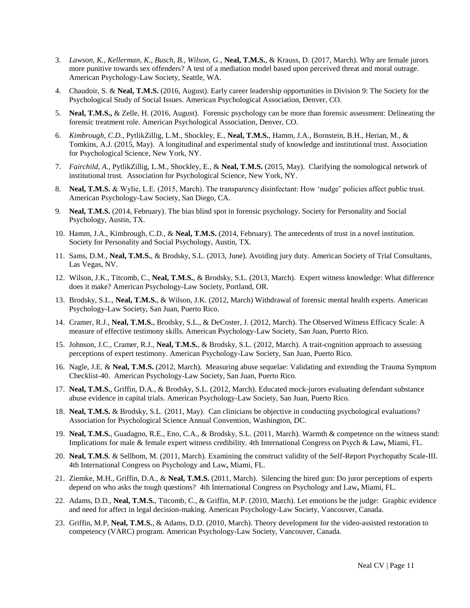- 3. *Lawson, K., Kellerman, K., Busch, B., Wilson, G.*, **Neal, T.M.S.**, & Krauss, D. (2017, March). Why are female jurors more punitive towards sex offenders? A test of a mediation model based upon perceived threat and moral outrage. American Psychology-Law Society, Seattle, WA.
- 4. Chaudoir, S. & **Neal, T.M.S.** (2016, August). Early career leadership opportunities in Division 9: The Society for the Psychological Study of Social Issues. American Psychological Association, Denver, CO.
- 5. **Neal, T.M.S.,** & Zelle, H. (2016, August). Forensic psychology can be more than forensic assessment: Delineating the forensic treatment role. American Psychological Association, Denver, CO.
- 6. *Kimbrough, C.D.*, PytlikZillig, L.M., Shockley, E., **Neal, T.M.S.**, Hamm, J.A., Bornstein, B.H., Herian, M., & Tomkins, A.J. (2015, May). A longitudinal and experimental study of knowledge and institutional trust. Association for Psychological Science, New York, NY.
- 7. *Fairchild, A.*, PytlikZillig, L.M., Shockley, E., & **Neal, T.M.S.** (2015, May). Clarifying the nomological network of institutional trust. Association for Psychological Science, New York, NY.
- 8. **Neal, T.M.S.** & Wylie, L.E. (2015, March). The transparency disinfectant: How 'nudge' policies affect public trust. American Psychology-Law Society, San Diego, CA.
- 9. **Neal, T.M.S.** (2014, February). The bias blind spot in forensic psychology. Society for Personality and Social Psychology, Austin, TX.
- 10. Hamm, J.A., Kimbrough, C.D., & **Neal, T.M.S.** (2014, February). The antecedents of trust in a novel institution. Society for Personality and Social Psychology, Austin, TX.
- 11. Sams, D.M., **Neal, T.M.S.**, & Brodsky, S.L. (2013, June). Avoiding jury duty. American Society of Trial Consultants, Las Vegas, NV.
- 12. Wilson, J.K., Titcomb, C., **Neal, T.M.S.**, & Brodsky, S.L. (2013, March). Expert witness knowledge: What difference does it make? American Psychology-Law Society, Portland, OR.
- 13. Brodsky, S.L., **Neal, T.M.S.**, & Wilson, J.K. (2012, March) Withdrawal of forensic mental health experts. American Psychology-Law Society, San Juan, Puerto Rico.
- 14. Cramer, R.J., **Neal, T.M.S.**, Brodsky, S.L., & DeCoster, J. (2012, March). The Observed Witness Efficacy Scale: A measure of effective testimony skills. American Psychology-Law Society, San Juan, Puerto Rico.
- 15. Johnson, J.C., Cramer, R.J., **Neal, T.M.S.**, & Brodsky, S.L. (2012, March). A trait-cognition approach to assessing perceptions of expert testimony. American Psychology-Law Society, San Juan, Puerto Rico.
- 16. Nagle, J.E. & **Neal, T.M.S.** (2012, March). Measuring abuse sequelae: Validating and extending the Trauma Symptom Checklist-40. American Psychology-Law Society, San Juan, Puerto Rico.
- 17. **Neal, T.M.S.**, Griffin, D.A., & Brodsky, S.L. (2012, March). Educated mock-jurors evaluating defendant substance abuse evidence in capital trials. American Psychology-Law Society, San Juan, Puerto Rico.
- 18. **Neal, T.M.S.** & Brodsky, S.L. (2011, May). Can clinicians be objective in conducting psychological evaluations? Association for Psychological Science Annual Convention, Washington, DC.
- 19. **Neal, T.M.S.**, Guadagno, R.E., Eno, C.A., & Brodsky, S.L. (2011, March). Warmth & competence on the witness stand: Implications for male & female expert witness credibility. 4th International Congress on Psych & Law**,** Miami, FL.
- 20. **Neal, T.M.S**. & Sellbom, M. (2011, March). Examining the construct validity of the Self-Report Psychopathy Scale-III. 4th International Congress on Psychology and Law**,** Miami, FL.
- 21. Ziemke, M.H., Griffin, D.A., & **Neal, T.M.S.** (2011, March). Silencing the hired gun: Do juror perceptions of experts depend on who asks the tough questions? 4th International Congress on Psychology and Law**,** Miami, FL.
- 22. Adams, D.D., **Neal, T.M.S.**, Titcomb, C., & Griffin, M.P. (2010, March). Let emotions be the judge: Graphic evidence and need for affect in legal decision-making. American Psychology-Law Society, Vancouver, Canada.
- 23. Griffin, M.P, **Neal, T.M.S.**, & Adams, D.D. (2010, March). Theory development for the video-assisted restoration to competency (VARC) program. American Psychology-Law Society, Vancouver, Canada.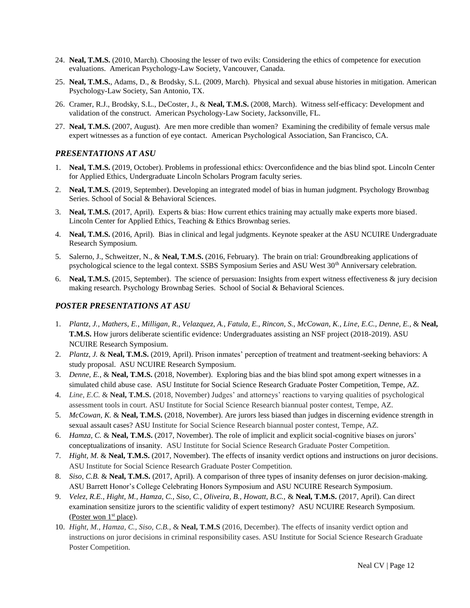- 24. **Neal, T.M.S.** (2010, March). Choosing the lesser of two evils: Considering the ethics of competence for execution evaluations. American Psychology-Law Society, Vancouver, Canada.
- 25. **Neal, T.M.S.**, Adams, D., & Brodsky, S.L. (2009, March). Physical and sexual abuse histories in mitigation. American Psychology-Law Society, San Antonio, TX.
- 26. Cramer, R.J., Brodsky, S.L., DeCoster, J., & **Neal, T.M.S.** (2008, March). Witness self-efficacy: Development and validation of the construct. American Psychology-Law Society, Jacksonville, FL.
- 27. **Neal, T.M.S.** (2007, August). Are men more credible than women? Examining the credibility of female versus male expert witnesses as a function of eye contact. American Psychological Association, San Francisco, CA.

#### *PRESENTATIONS AT ASU*

- 1. **Neal, T.M.S.** (2019, October). Problems in professional ethics: Overconfidence and the bias blind spot. Lincoln Center for Applied Ethics, Undergraduate Lincoln Scholars Program faculty series.
- 2. **Neal, T.M.S.** (2019, September). Developing an integrated model of bias in human judgment. Psychology Brownbag Series. School of Social & Behavioral Sciences.
- 3. **Neal, T.M.S.** (2017, April). Experts & bias: How current ethics training may actually make experts more biased. Lincoln Center for Applied Ethics, Teaching & Ethics Brownbag series.
- 4. **Neal, T.M.S.** (2016, April). Bias in clinical and legal judgments. Keynote speaker at the ASU NCUIRE Undergraduate Research Symposium.
- 5. Salerno, J., Schweitzer, N., & **Neal, T.M.S.** (2016, February). The brain on trial: Groundbreaking applications of psychological science to the legal context. SSBS Symposium Series and ASU West 30<sup>th</sup> Anniversary celebration.
- 6. **Neal, T.M.S.** (2015, September). The science of persuasion: Insights from expert witness effectiveness & jury decision making research. Psychology Brownbag Series. School of Social & Behavioral Sciences.

#### *POSTER PRESENTATIONS AT ASU*

- 1. *Plantz, J., Mathers, E., Milligan, R., Velazquez, A., Fatula, E., Rincon, S., McCowan, K., Line, E.C., Denne, E.,* & **Neal, T.M.S.** How jurors deliberate scientific evidence: Undergraduates assisting an NSF project (2018-2019). ASU NCUIRE Research Symposium.
- 2. *Plantz, J.* & **Neal, T.M.S.** (2019, April). Prison inmates' perception of treatment and treatment-seeking behaviors: A study proposal. ASU NCUIRE Research Symposium.
- 3. *Denne, E.*, & **Neal, T.M.S.** (2018, November). Exploring bias and the bias blind spot among expert witnesses in a simulated child abuse case. ASU Institute for Social Science Research Graduate Poster Competition, Tempe, AZ.
- 4. *Line, E.C.* & **Neal, T.M.S.** (2018, November) Judges' and attorneys' reactions to varying qualities of psychological assessment tools in court. ASU Institute for Social Science Research biannual poster contest, Tempe, AZ.
- 5. *McCowan, K.* & **Neal, T.M.S.** (2018, November). Are jurors less biased than judges in discerning evidence strength in sexual assault cases? ASU Institute for Social Science Research biannual poster contest, Tempe, AZ.
- 6. *Hamza, C.* & **Neal, T.M.S.** (2017, November). The role of implicit and explicit social-cognitive biases on jurors' conceptualizations of insanity. ASU Institute for Social Science Research Graduate Poster Competition.
- 7. *Hight, M.* & **Neal, T.M.S.** (2017, November). The effects of insanity verdict options and instructions on juror decisions. ASU Institute for Social Science Research Graduate Poster Competition.
- 8. *Siso, C.B.* & **Neal, T.M.S.** (2017, April). A comparison of three types of insanity defenses on juror decision-making. ASU Barrett Honor's College Celebrating Honors Symposium and ASU NCUIRE Research Symposium.
- 9. *Velez, R.E., Hight, M., Hamza, C., Siso, C., Oliveira, B., Howatt, B.C.,* & **Neal, T.M.S.** (2017, April). Can direct examination sensitize jurors to the scientific validity of expert testimony? ASU NCUIRE Research Symposium. (Poster won  $1<sup>st</sup>$  place).
- 10. *Hight, M., Hamza, C., Siso, C.B.,* & **Neal, T.M.S** (2016, December). The effects of insanity verdict option and instructions on juror decisions in criminal responsibility cases. ASU Institute for Social Science Research Graduate Poster Competition.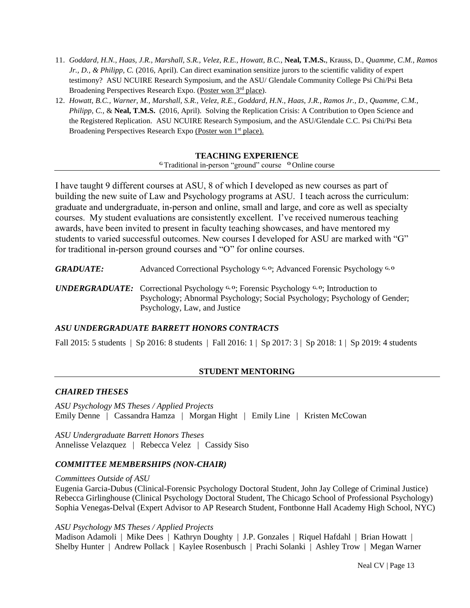- 11. *Goddard, H.N., Haas, J.R., Marshall, S.R., Velez, R.E., Howatt, B.C.*, **Neal, T.M.S.**, Krauss, D., *Quamme, C.M., Ramos Jr., D., & Philipp, C.* (2016, April). Can direct examination sensitize jurors to the scientific validity of expert testimony? ASU NCUIRE Research Symposium, and the ASU/ Glendale Community College Psi Chi/Psi Beta Broadening Perspectives Research Expo. (Poster won 3rd place).
- 12. *Howatt, B.C., Warner, M., Marshall, S.R., Velez, R.E., Goddard, H.N., Haas, J.R., Ramos Jr., D., Quamme, C.M., Philipp, C., & Neal, T.M.S.* (2016, April). Solving the Replication Crisis: A Contribution to Open Science and the Registered Replication. ASU NCUIRE Research Symposium, and the ASU/Glendale C.C. Psi Chi/Psi Beta Broadening Perspectives Research Expo (Poster won 1<sup>st</sup> place).

## **TEACHING EXPERIENCE**

**<sup>G</sup>** Traditional in-person "ground" course **<sup>O</sup>** Online course

I have taught 9 different courses at ASU, 8 of which I developed as new courses as part of building the new suite of Law and Psychology programs at ASU. I teach across the curriculum: graduate and undergraduate, in-person and online, small and large, and core as well as specialty courses. My student evaluations are consistently excellent. I've received numerous teaching awards, have been invited to present in faculty teaching showcases, and have mentored my students to varied successful outcomes. New courses I developed for ASU are marked with "G" for traditional in-person ground courses and "O" for online courses.

*GRADUATE:* Advanced Correctional Psychology **G, O**; Advanced Forensic Psychology **G, O**

*UNDERGRADUATE:* Correctional Psychology **G, O**; Forensic Psychology **G, O**; Introduction to Psychology; Abnormal Psychology; Social Psychology; Psychology of Gender; Psychology, Law, and Justice

## *ASU UNDERGRADUATE BARRETT HONORS CONTRACTS*

Fall 2015: 5 students | Sp 2016: 8 students | Fall 2016: 1 | Sp 2017: 3 | Sp 2018: 1 | Sp 2019: 4 students

## **STUDENT MENTORING**

## *CHAIRED THESES*

*ASU Psychology MS Theses / Applied Projects* Emily Denne | Cassandra Hamza | Morgan Hight | Emily Line | Kristen McCowan

*ASU Undergraduate Barrett Honors Theses* Annelisse Velazquez | Rebecca Velez | Cassidy Siso

## *COMMITTEE MEMBERSHIPS (NON-CHAIR)*

## *Committees Outside of ASU*

Eugenia Garcia-Dubus (Clinical-Forensic Psychology Doctoral Student, John Jay College of Criminal Justice) Rebecca Girlinghouse (Clinical Psychology Doctoral Student, The Chicago School of Professional Psychology) Sophia Venegas-Delval (Expert Advisor to AP Research Student, Fontbonne Hall Academy High School, NYC)

## *ASU Psychology MS Theses / Applied Projects*

Madison Adamoli | Mike Dees | Kathryn Doughty | J.P. Gonzales | Riquel Hafdahl | Brian Howatt | Shelby Hunter | Andrew Pollack | Kaylee Rosenbusch | Prachi Solanki | Ashley Trow | Megan Warner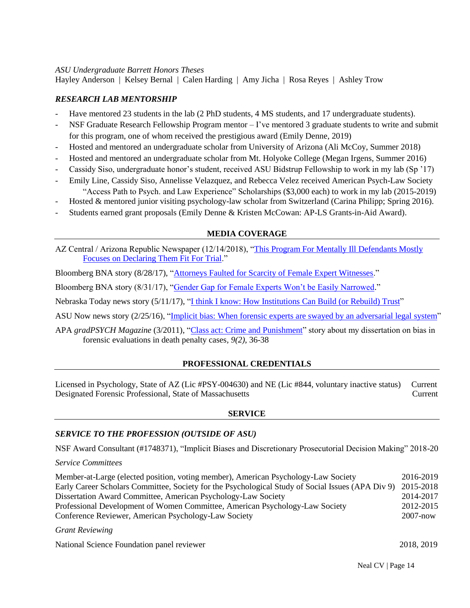## *ASU Undergraduate Barrett Honors Theses*

Hayley Anderson | Kelsey Bernal | Calen Harding | Amy Jicha | Rosa Reyes | Ashley Trow

## *RESEARCH LAB MENTORSHIP*

- Have mentored 23 students in the lab (2 PhD students, 4 MS students, and 17 undergraduate students).
- NSF Graduate Research Fellowship Program mentor I've mentored 3 graduate students to write and submit for this program, one of whom received the prestigious award (Emily Denne, 2019)
- Hosted and mentored an undergraduate scholar from University of Arizona (Ali McCoy, Summer 2018)
- Hosted and mentored an undergraduate scholar from Mt. Holyoke College (Megan Irgens, Summer 2016)
- Cassidy Siso, undergraduate honor's student, received ASU Bidstrup Fellowship to work in my lab (Sp '17)
- Emily Line, Cassidy Siso, Annelisse Velazquez, and Rebecca Velez received American Psych-Law Society "Access Path to Psych. and Law Experience" Scholarships (\$3,000 each) to work in my lab (2015-2019)
- Hosted & mentored junior visiting psychology-law scholar from Switzerland (Carina Philipp; Spring 2016).
- Students earned grant proposals (Emily Denne & Kristen McCowan: AP-LS Grants-in-Aid Award).

## **MEDIA COVERAGE**

AZ Central / Arizona Republic Newspaper (12/14/2018), "This Program For Mentally III Defendants Mostly Focuses on [Declaring Them Fit For Trial.](https://www.azcentral.com/in-depth/news/local/arizona-investigations/2018/12/11/restoration-competency-jail-program-defendants-mental-illness-maricopa-county-superior-court/712133002/)"

Bloomberg BNA story (8/28/17), ["Attorneys Faulted for Scarcity of Female Expert Witnesses.](https://www.bna.com/attorneys-faulted-scarcity-n73014463810/)"

Bloomberg BNA story (8/31/17), ["Gender Gap for Female Experts Won't be Easily Narrowed.](https://www.bna.com/gender-gap-female-n73014464032/)"

Nebraska Today news story (5/11/17), ["I think I know: How Institutions Can Build \(or Rebuild\) Trust"](http://news.unl.edu/newsrooms/today/article/i-think-i-know-how-institutions-can-build-or-rebuild-trust/)

ASU Now news story (2/25/16), ["Implicit bias: When forensic experts are swayed by an adversarial legal system"](https://asunow.asu.edu/20160225-solutions-implicit-bias)

APA *gradPSYCH Magazine* (3/2011), ["Class act: Crime and Punishment"](http://www.apa.org/gradpsych/2011/03/crime.aspx) story about my dissertation on bias in forensic evaluations in death penalty cases*, 9(2)*, 36-38

## **PROFESSIONAL CREDENTIALS**

Licensed in Psychology, State of AZ (Lic #PSY-004630) and NE (Lic #844, voluntary inactive status) Current Designated Forensic Professional, State of Massachusetts Current

## **SERVICE**

## *SERVICE TO THE PROFESSION (OUTSIDE OF ASU)*

NSF Award Consultant (#1748371), "Implicit Biases and Discretionary Prosecutorial Decision Making" 2018-20

## *Service Committees*

Member-at-Large (elected position, voting member), American Psychology-Law Society 2016-2019 Early Career Scholars Committee, Society for the Psychological Study of Social Issues (APA Div 9) 2015-2018 Dissertation Award Committee, American Psychology-Law Society 2014-2017 Professional Development of Women Committee, American Psychology-Law Society 2012-2015 Conference Reviewer, American Psychology-Law Society 2007-now

#### *Grant Reviewing*

National Science Foundation panel reviewer 2018, 2019

Neal CV | Page 14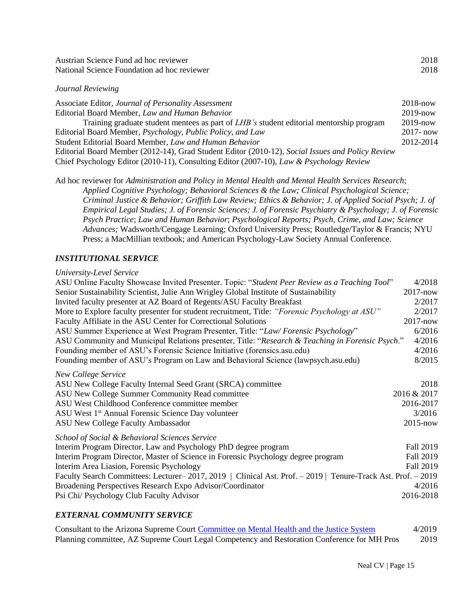| Austrian Science Fund ad hoc reviewer       | 2018 |
|---------------------------------------------|------|
| National Science Foundation ad hoc reviewer | 2018 |
|                                             |      |

## *Journal Reviewing*

| Associate Editor, Journal of Personality Assessment                                              | $2018 - now$ |
|--------------------------------------------------------------------------------------------------|--------------|
| Editorial Board Member, Law and Human Behavior                                                   | $2019 - now$ |
| Training graduate student mentees as part of <i>LHB</i> 's student editorial mentorship program  | $2019 - now$ |
| Editorial Board Member, <i>Psychology</i> , <i>Public Policy</i> , and Law                       | $2017 - now$ |
| Student Editorial Board Member, Law and Human Behavior                                           | 2012-2014    |
| Editorial Board Member (2012-14), Grad Student Editor (2010-12), Social Issues and Policy Review |              |

Chief Psychology Editor (2010-11), Consulting Editor (2007-10), *Law & Psychology Review* 

Ad hoc reviewer for *Administration and Policy in Mental Health and Mental Health Services Research*; *Applied Cognitive Psychology; Behavioral Sciences & the Law; Clinical Psychological Science; Criminal Justice & Behavior; Griffith Law Review; Ethics & Behavior; J. of Applied Social Psych; J. of Empirical Legal Studies; J. of Forensic Sciences; J. of Forensic Psychiatry & Psychology; J. of Forensic Psych Practice*; *Law and Human Behavior*; *Psychological Reports; Psych, Crime, and Law; Science Advances;* Wadsworth/Cengage Learning; Oxford University Press; Routledge/Taylor & Francis; NYU Press; a MacMillian textbook; and American Psychology-Law Society Annual Conference.

# *INSTITUTIONAL SERVICE*

## *University-Level Service*

| ASU Online Faculty Showcase Invited Presenter. Topic: "Student Peer Review as a Teaching Tool"                                                                                                                                                                                                          | 4/2018                                                     |
|---------------------------------------------------------------------------------------------------------------------------------------------------------------------------------------------------------------------------------------------------------------------------------------------------------|------------------------------------------------------------|
| Senior Sustainability Scientist, Julie Ann Wrigley Global Institute of Sustainability                                                                                                                                                                                                                   | $2017 - now$                                               |
| Invited faculty presenter at AZ Board of Regents/ASU Faculty Breakfast                                                                                                                                                                                                                                  | 2/2017                                                     |
| More to Explore faculty presenter for student recruitment, Title: "Forensic Psychology at ASU"                                                                                                                                                                                                          | 2/2017                                                     |
| Faculty Affiliate in the ASU Center for Correctional Solutions                                                                                                                                                                                                                                          | $2017 - now$                                               |
| ASU Summer Experience at West Program Presenter, Title: "Law/Forensic Psychology"                                                                                                                                                                                                                       | 6/2016                                                     |
| ASU Community and Municipal Relations presenter, Title: "Research & Teaching in Forensic Psych."                                                                                                                                                                                                        | 4/2016                                                     |
| Founding member of ASU's Forensic Science Initiative (forensics.asu.edu)                                                                                                                                                                                                                                | 4/2016                                                     |
| Founding member of ASU's Program on Law and Behavioral Science (lawpsych.asu.edu)                                                                                                                                                                                                                       | 8/2015                                                     |
| New College Service<br>ASU New College Faculty Internal Seed Grant (SRCA) committee<br>ASU New College Summer Community Read committee<br>ASU West Childhood Conference committee member<br>ASU West 1 <sup>st</sup> Annual Forensic Science Day volunteer<br><b>ASU New College Faculty Ambassador</b> | 2018<br>2016 & 2017<br>2016-2017<br>3/2016<br>$2015 - now$ |
| School of Social & Behavioral Sciences Service                                                                                                                                                                                                                                                          |                                                            |
| Interim Program Director, Law and Psychology PhD degree program                                                                                                                                                                                                                                         | Fall 2019                                                  |
| Interim Program Director, Master of Science in Forensic Psychology degree program                                                                                                                                                                                                                       | Fall 2019                                                  |
| Interim Area Liasion, Forensic Psychology                                                                                                                                                                                                                                                               | Fall 2019                                                  |
| Faculty Search Committees: Lecturer-2017, 2019   Clinical Ast. Prof. - 2019   Tenure-Track Ast. Prof. - 2019                                                                                                                                                                                            |                                                            |
| Broadening Perspectives Research Expo Advisor/Coordinator                                                                                                                                                                                                                                               | 4/2016                                                     |
| Psi Chi/ Psychology Club Faculty Advisor                                                                                                                                                                                                                                                                | 2016-2018                                                  |

# *EXTERNAL COMMUNITY SERVICE*

| Consultant to the Arizona Supreme Court Committee on Mental Health and the Justice System    | 4/2019 |
|----------------------------------------------------------------------------------------------|--------|
| Planning committee, AZ Supreme Court Legal Competency and Restoration Conference for MH Pros | 2019   |